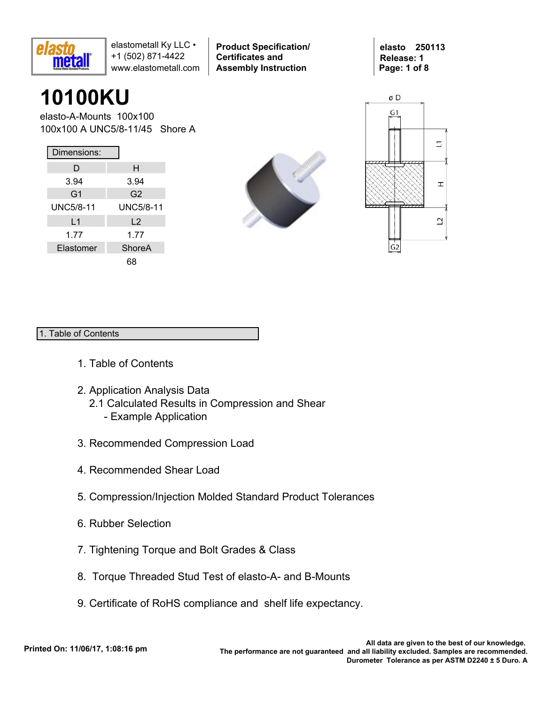

**Product Specification/ Certificates and Assembly Instruction**

**elasto 250113 Release: 1 Page: 1 of 8**

# **10100KU**

elasto-A-Mounts 100x100 100x100 A UNC5/8-11/45 Shore A

| Dimensions:      |                  |
|------------------|------------------|
| D                | н                |
| 3.94             | 3.94             |
| G <sub>1</sub>   | G <sub>2</sub>   |
| <b>UNC5/8-11</b> | <b>UNC5/8-11</b> |
| L1               | L <sub>2</sub>   |
| 1.77             | 1.77             |
| Elastomer        | ShoreA           |
|                  | 68               |





### 1. Table of Contents

- 1. Table of Contents
- 2. Application Analysis Data
	- 2.1 Calculated Results in Compression and Shear
		- Example Application
- 3. Recommended Compression Load
- 4. Recommended Shear Load
- 5. Compression/Injection Molded Standard Product Tolerances
- 6. Rubber Selection
- 7. Tightening Torque and Bolt Grades & Class
- 8. Torque Threaded Stud Test of elasto-A- and B-Mounts
- 9. Certificate of RoHS compliance and shelf life expectancy.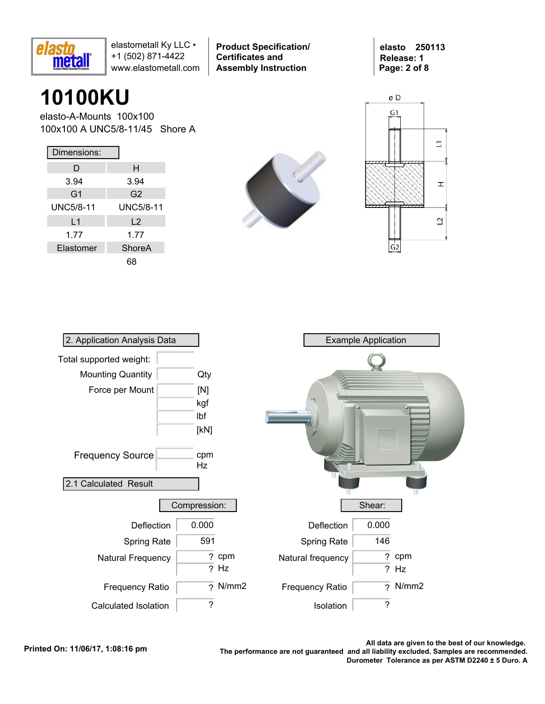

**Product Specification/ Certificates and Assembly Instruction**

**elasto 250113 Release: 1 Page: 2 of 8**

## **10100KU**

elasto-A-Mounts 100x100 100x100 A UNC5/8-11/45 Shore A

| Dimensions:    |                  |
|----------------|------------------|
| D              | н                |
| 3.94           | 3.94             |
| G <sub>1</sub> | G <sub>2</sub>   |
| UNC5/8-11      | <b>UNC5/8-11</b> |
| L1             | L <sub>2</sub>   |
| 1.77           | 1.77             |
| Elastomer      | ShoreA           |
|                |                  |





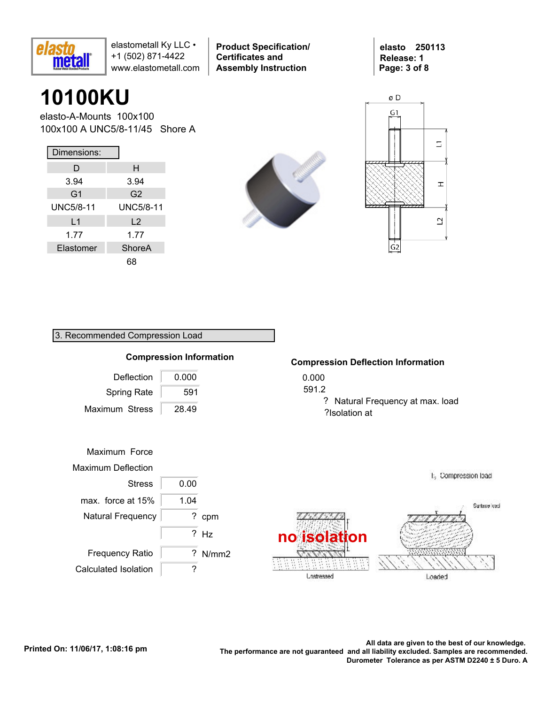

**Product Specification/ Certificates and Assembly Instruction**

**elasto 250113 Release: 1 Page: 3 of 8**

## **10100KU**

elasto-A-Mounts 100x100 100x100 A UNC5/8-11/45 Shore A

| Dimensions:    |                  |
|----------------|------------------|
| D              | н                |
| 3.94           | 3.94             |
| G <sub>1</sub> | G <sub>2</sub>   |
| UNC5/8-11      | <b>UNC5/8-11</b> |
| L1             | L <sub>2</sub>   |
| 1.77           | 1.77             |
| Elastomer      | ShoreA           |
|                |                  |





### 3. Recommended Compression Load



#### **Compression Deflection Information**

? Natural Frequency at max. load ?Isolation at

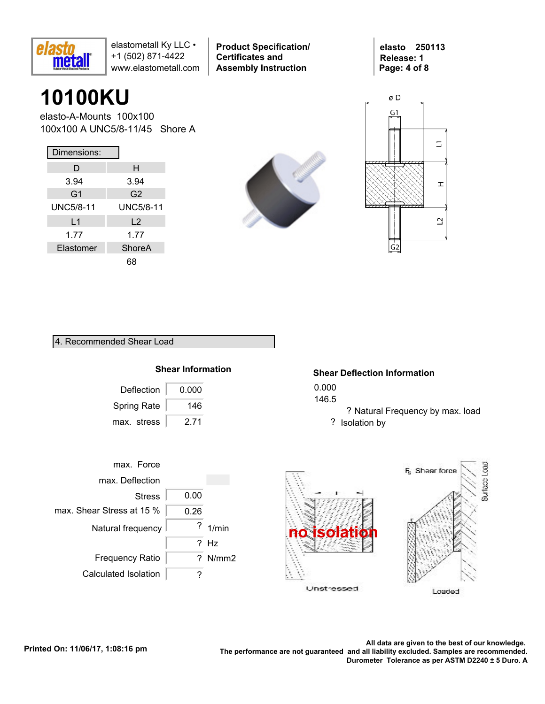

**Product Specification/ Certificates and Assembly Instruction**

**elasto 250113 Release: 1 Page: 4 of 8**

## **10100KU**

elasto-A-Mounts 100x100 100x100 A UNC5/8-11/45 Shore A

| Dimensions:    |                  |
|----------------|------------------|
| D              | н                |
| 3.94           | 3.94             |
| G <sub>1</sub> | G2               |
| UNC5/8-11      | <b>UNC5/8-11</b> |
| L1             | $\mathsf{L}2$    |
| 1.77           | 1.77             |
| Elastomer      | ShoreA           |
|                |                  |





#### 4. Recommended Shear Load

### **Shear Information**

| Deflection         | 0.000 |
|--------------------|-------|
| <b>Spring Rate</b> | 146   |
| max. stress        | 2 71  |

### **Shear Deflection Information**

0.000

146.5

? Natural Frequency by max. load ? Isolation by



Loaded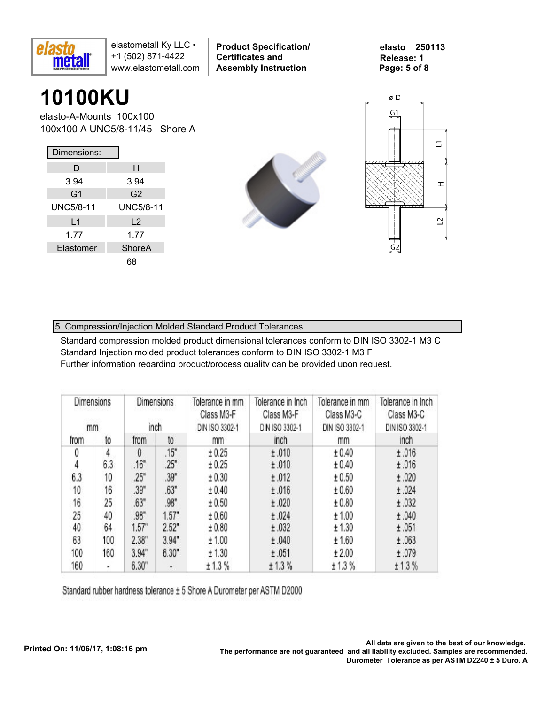

**Product Specification/ Certificates and Assembly Instruction**

**elasto 250113 Release: 1 Page: 5 of 8**

## **10100KU**

elasto-A-Mounts 100x100 100x100 A UNC5/8-11/45 Shore A

| Dimensions:    |                |
|----------------|----------------|
| D              | н              |
| 3.94           | 3.94           |
| G <sub>1</sub> | G <sub>2</sub> |
| UNC5/8-11      | UNC5/8-11      |
| L1             | L <sub>2</sub> |
| 1.77           | 1.77           |
| Elastomer      | ShoreA         |
|                |                |





### 5. Compression/Injection Molded Standard Product Tolerances

Standard compression molded product dimensional tolerances conform to DIN ISO 3302-1 M3 C Standard Injection molded product tolerances conform to DIN ISO 3302-1 M3 F Further information regarding product/process quality can be provided upon request.

| Dimensions<br>mm |     |          | Dimensions<br>inch | Tolerance in mm<br>Class M3-F<br>DIN ISO 3302-1 | Tolerance in Inch<br>Class M3-F<br>DIN ISO 3302-1 | Tolerance in mm<br>Class M3-C<br>DIN ISO 3302-1 | Tolerance in Inch<br>Class M3-C<br>DIN ISO 3302-1 |
|------------------|-----|----------|--------------------|-------------------------------------------------|---------------------------------------------------|-------------------------------------------------|---------------------------------------------------|
| from             | to  | from     | to                 | mm                                              | inch                                              | mm                                              | inch                                              |
| 0                | 4   | $\theta$ | .15"               | ± 0.25                                          | ±.010                                             | ± 0.40                                          | ±.016                                             |
| 4                | 6.3 | .16"     | .25"               | ± 0.25                                          | ±.010                                             | ± 0.40                                          | ±.016                                             |
| 6.3              | 10  | 25"      | .39"               | ± 0.30                                          | ±.012                                             | ± 0.50                                          | ±.020                                             |
| 10               | 16  | .39"     | .63"               | ± 0.40                                          | ±.016                                             | ± 0.60                                          | ±.024                                             |
| 16               | 25  | .63"     | .98"               | ± 0.50                                          | ±.020                                             | ± 0.80                                          | ±.032                                             |
| 25               | 40  | .98"     | 1.57"              | ± 0.60                                          | ±.024                                             | ± 1.00                                          | ±.040                                             |
| 40               | 64  | 1.57"    | 2.52"              | ± 0.80                                          | ±.032                                             | ± 1.30                                          | ±.051                                             |
| 63               | 100 | 2.38"    | 3.94"              | ± 1.00                                          | ±.040                                             | ± 1.60                                          | ±.063                                             |
| 100              | 160 | 3.94"    | 6.30"              | ± 1.30                                          | ±.051                                             | ± 2.00                                          | ±.079                                             |
| 160              | ۰   | 6.30"    | ٠                  | ± 1.3%                                          | ± 1.3%                                            | ± 1.3%                                          | ± 1.3%                                            |

Standard rubber hardness tolerance ± 5 Shore A Durometer per ASTM D2000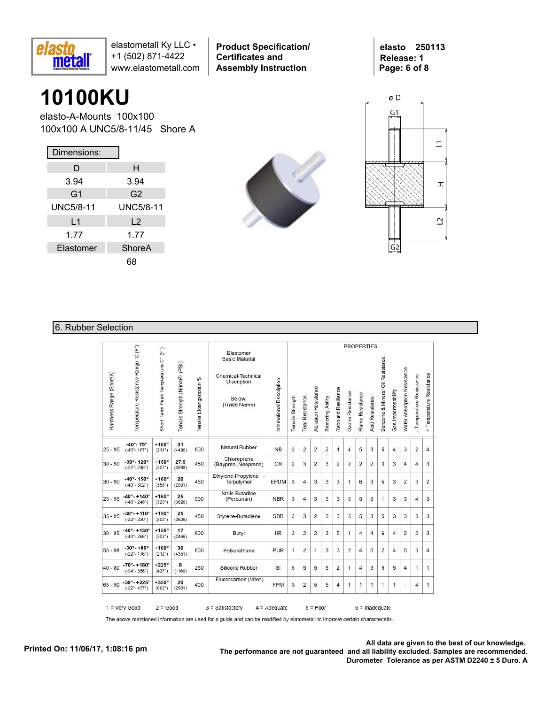

**Product Specification/ Certificates and Assembly Instruction**

**elasto 250113 Release: 1 Page: 6 of 8**

### **10100KU**

elasto-A-Mounts 100x100 100x100 A UNC5/8-11/45 Shore A

| Dimensions:      |                  |
|------------------|------------------|
| D                | н                |
| 3.94             | 3.94             |
| G <sub>1</sub>   | G <sub>2</sub>   |
| <b>UNC5/8-11</b> | <b>UNC5/8-11</b> |
| L1               | L <sub>2</sub>   |
| 1.77             | 1.77             |
| Elastomer        | ShoreA           |
|                  | 68               |





#### 6. Rubber Selection

|                         |                                                               |                                     |                                            |                             |                                                                                                   |                           |                  |                 |                            |                   |                    |                  |                  | <b>PROPERTIES</b>      |                                  |                         |                             |                          |                          |
|-------------------------|---------------------------------------------------------------|-------------------------------------|--------------------------------------------|-----------------------------|---------------------------------------------------------------------------------------------------|---------------------------|------------------|-----------------|----------------------------|-------------------|--------------------|------------------|------------------|------------------------|----------------------------------|-------------------------|-----------------------------|--------------------------|--------------------------|
| Hardness Range (ShoreA) | Temperature Resistance Range 'C (F")                          | Short Term Peak Temperature C° (F°) | Tensile Strength (N/mm <sup>2)</sup> (PSI) | %<br>Tensile Eloangariotion | Elastomer<br><b>Basic Material</b><br>Chemical-Technical<br>Discription<br>Below:<br>(Trade Name) | International Description | Tensile Strength | Tear Resistance | <b>Abrasion Resistance</b> | Restoring Ability | Rebound Resilience | Ozone Resistance | Flame Resistance | <b>Acid Resistance</b> | Benzene & Mineral Oil Resistance | Gas Impermeability      | Water Absorption Resistance | - Temperature Resistance | + Temperature Resistance |
| $25 - 95$               | $-40^{\circ} - 75^{\circ}$<br>$(-40^{\circ} - 167^{\circ})$   | $+100^\circ$<br>$(212^{\circ})$     | 31<br>(4496)                               | 800                         | Natural Rubber                                                                                    | <b>NR</b>                 | $\overline{2}$   | $\overline{2}$  | $\overline{2}$             | 2                 | $\mathbf{1}$       | $\overline{4}$   | 5                | 3                      | 5                                | $\overline{4}$          | 3                           | $\overline{2}$           | $\overline{4}$           |
| $30 - 90$               | $-30^{\circ} - 120^{\circ}$<br>$(-22^{\circ} - 248^{\circ})$  | $+150^\circ$<br>$(302^{\circ})$     | 27.5<br>(3988)                             | 450                         | Chloroprene<br>(Baypren, Neoprene)                                                                | CR                        | $\overline{2}$   | 3               | 2                          | 3                 | 2                  | $\overline{2}$   | 2                | 2                      | 3                                | 3                       | 4                           | 4                        | 3                        |
| $30 - 90$               | $-40^{\circ} - 150^{\circ}$<br>$(-40^{\circ} - 302^{\circ})$  | $+180^\circ$<br>(356°)              | 20<br>(2901)                               | 450                         | Ethylene-Propylene -<br>Terpolymer                                                                | <b>EPDM</b>               | 3                | 4               | 3                          | 3                 | 3                  | 1                | 6                | 3                      | 5                                | 3                       | $\overline{2}$              | 3                        | $\overline{2}$           |
| $25 - 95$               | $-40^{\circ} - +140^{\circ}$<br>$(-40^{\circ} - 248^{\circ})$ | $+160^\circ$<br>(320°)              | 25<br>(3626)                               | 500                         | Ntrile Butadine<br>(Perbunan)                                                                     | <b>NBR</b>                | 3                | $\overline{4}$  | 3                          | 3                 | 3                  | 5                | 5                | 3                      | 1                                | 3                       | 3                           | 4                        | 3                        |
| $35 - 95$               | $-30^\circ - +110^\circ$<br>$(-22^{\circ} - 230^{\circ})$     | $+150^\circ$<br>$(302^{\circ})$     | 25<br>(3626)                               | 450                         | Styrene-Butadiene                                                                                 | <b>SBR</b>                | 3                | 3               | $\overline{2}$             | 3                 | 3                  | 5                | 5                | 3                      | 5                                | 3                       | 3                           | 3                        | 3                        |
| $30 - 85$               | $-40^{\circ} - +130^{\circ}$<br>$(-40^\circ - 266^\circ)$     | $+150^\circ$<br>$(302^{\circ})$     | 17<br>(2466)                               | 800                         | Butyl                                                                                             | <b>IIR</b>                | 3                | 2               | 2                          | 3                 | 5                  | 1                | 4                | $\overline{4}$         | 6                                | 4                       | 2                           | 2                        | 3                        |
| $55 - 98$               | $-30^{\circ} - +80^{\circ}$<br>$(-22^{\circ} - 176^{\circ})$  | $+100^\circ$<br>(212°)              | 30<br>(4351)                               | 800                         | Polyurethane                                                                                      | <b>PUR</b>                | 1                | 2               | $\mathbf{1}$               | 3                 | 3                  | $\overline{2}$   | $\overline{4}$   | 5                      | $\overline{2}$                   | $\overline{\mathbf{4}}$ | 5                           | 3                        | $\overline{4}$           |
| $40 - 80$               | $-70^{\circ} - +180^{\circ}$<br>$(-94^{\circ} - 356^{\circ})$ | $+225^\circ$<br>(437°)              | 8<br>(1160)                                | 250                         | Silicone Rubber                                                                                   | SI                        | 5                | 5               | 5                          | 5                 | 2                  | 1                | 4                | 3                      | 5                                | 5                       | 4                           | 1                        | 1                        |
| $65 - 90$               | $-30^{\circ} - +225^{\circ}$<br>$(-22^{\circ} - 437^{\circ})$ | $+350^\circ$<br>(662°)              | 20<br>(2901)                               | 400                         | Fluorocarbon (Viton)                                                                              | <b>FPM</b>                | 3                | 2               | 5                          | 5                 | 4                  | 1                | 1                | 1                      | 1                                | 1                       | ä,                          | 4                        | 1                        |

The above mentioned information are used for a guide and can be modified by elatometall to improve certain characteristis.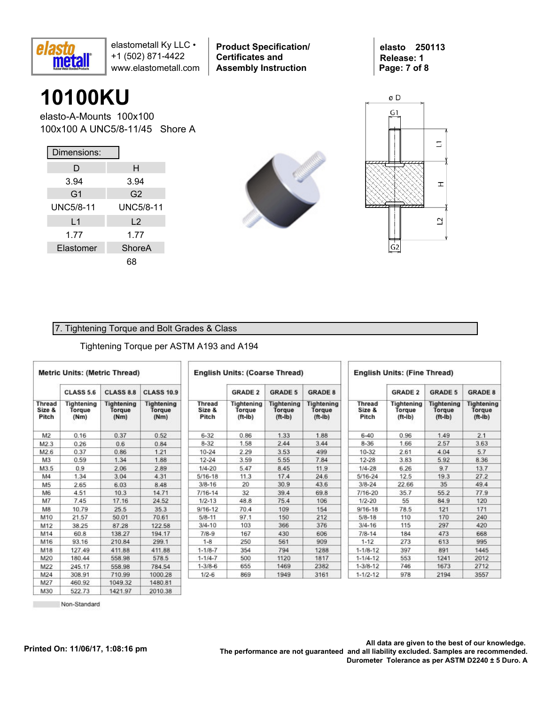

**Product Specification/ Certificates and Assembly Instruction**

**elasto 250113 Release: 1 Page: 7 of 8**

### **10100KU**

elasto-A-Mounts 100x100 100x100 A UNC5/8-11/45 Shore A

| Dimensions:      |                  |
|------------------|------------------|
| D                | н                |
| 3.94             | 3.94             |
| G1               | G2               |
| <b>UNC5/8-11</b> | <b>UNC5/8-11</b> |
| L1               | L <sub>2</sub>   |
| 1.77             | 1.77             |
| Elastomer        | ShoreA           |
|                  | 68               |





#### 7. Tightening Torque and Bolt Grades & Class

#### Tightening Torque per ASTM A193 and A194

| <b>Metric Units: (Metric Thread)</b> |                              |                                     |                              | <b>English Units: (Coarse Thread)</b> |                                   |                                                |                                          |                                  |                                   | <b>English Units: (Fine Thread)</b>      |                                          |  |  |  |  |  |
|--------------------------------------|------------------------------|-------------------------------------|------------------------------|---------------------------------------|-----------------------------------|------------------------------------------------|------------------------------------------|----------------------------------|-----------------------------------|------------------------------------------|------------------------------------------|--|--|--|--|--|
|                                      | <b>CLASS 5.6</b>             | <b>CLASS 8.8</b>                    | <b>CLASS 10.9</b>            |                                       | <b>GRADE 2</b>                    | <b>GRADE 5</b>                                 | <b>GRADE 8</b>                           |                                  | <b>GRADE 2</b>                    | <b>GRADE 5</b>                           | <b>GRADE 8</b>                           |  |  |  |  |  |
| <b>Thread</b><br>Size &<br>Pitch     | Tightening<br>Torque<br>(Nm) | <b>Tightening</b><br>Torque<br>(Nm) | Tightening<br>Torque<br>(Nm) | Thread<br>Size &<br>Pitch             | Tightening<br>Torque<br>$(ft-lb)$ | <b>Tightening</b><br>Torque<br>$({\sf ft-lb})$ | <b>Tightening</b><br>Torque<br>$(ft-lb)$ | <b>Thread</b><br>Size &<br>Pitch | Tightening<br>Torque<br>$(ft-lb)$ | <b>Tightening</b><br>Torque<br>$(ft-lb)$ | <b>Tightening</b><br>Torque<br>$(ft-lb)$ |  |  |  |  |  |
| M <sub>2</sub>                       | 0.16                         | 0.37                                | 0.52                         | $6 - 32$                              | 0.86                              | 1.33                                           | 1.88                                     | $6 - 40$                         | 0.96                              | 1.49                                     | 2.1                                      |  |  |  |  |  |
| M2.3                                 | 0.26                         | 0.6                                 | 0.84                         | $8 - 32$                              | 1.58                              | 2.44                                           | 3.44                                     | $8 - 36$                         | 1.66                              | 2.57                                     | 3.63                                     |  |  |  |  |  |
| M2.6                                 | 0.37                         | 0.86                                | 1.21                         | $10 - 24$                             | 2.29                              | 3.53                                           | 499                                      | 10-32                            | 2.61                              | 4.04                                     | 5.7                                      |  |  |  |  |  |
| M <sub>3</sub>                       | 0.59                         | 1.34                                | 1.88                         | $12 - 24$                             | 3.59                              | 5.55                                           | 7.84                                     | $12 - 28$                        | 3.83                              | 5.92                                     | 8.36                                     |  |  |  |  |  |
| M3.5                                 | 0.9                          | 2.06                                | 2.89                         | $1/4 - 20$                            | 5.47                              | 8.45                                           | 11.9                                     | $1/4 - 28$                       | 6.26                              | 9.7                                      | 13.7                                     |  |  |  |  |  |
| M4                                   | 1.34                         | 3.04                                | 4.31                         | $5/16 - 18$                           | 11.3                              | 17.4                                           | 24.6                                     | $5/16 - 24$                      | 12.5                              | 19.3                                     | 27.2                                     |  |  |  |  |  |
| M <sub>5</sub>                       | 2.65                         | 6.03                                | 8.48                         | $3/8 - 16$                            | 20                                | 30.9                                           | 43.6                                     | $3/8 - 24$                       | 22.66                             | 35                                       | 49.4                                     |  |  |  |  |  |
| M6                                   | 4.51                         | 10.3                                | 14.71                        | $7/16 - 14$                           | 32                                | 39.4                                           | 69.8                                     | 7/16-20                          | 35.7                              | 55.2                                     | 77.9                                     |  |  |  |  |  |
| M7                                   | 7.45                         | 17.16                               | 24.52                        | $1/2 - 13$                            | 48.8                              | 75.4                                           | 106                                      | $1/2 - 20$                       | 55                                | 84.9                                     | 120                                      |  |  |  |  |  |
| M8                                   | 10.79                        | 25.5                                | 35.3                         | $9/16 - 12$                           | 70.4                              | 109                                            | 154                                      | $9/16 - 18$                      | 78.5                              | 121                                      | 171                                      |  |  |  |  |  |
| M10                                  | 21.57                        | 50.01                               | 70.61                        | $5/8 - 11$                            | 97.1                              | 150                                            | 212                                      | $5/8 - 18$                       | 110                               | 170                                      | 240                                      |  |  |  |  |  |
| M12                                  | 38.25                        | 87.28                               | 122.58                       | $3/4 - 10$                            | 103                               | 366                                            | 376                                      | $3/4 - 16$                       | 115                               | 297                                      | 420                                      |  |  |  |  |  |
| M14                                  | 60.8                         | 138.27                              | 194.17                       | $7/8-9$                               | 167                               | 430                                            | 606                                      | $7/8 - 14$                       | 184                               | 473                                      | 668                                      |  |  |  |  |  |
| M16                                  | 93.16                        | 210.84                              | 299.1                        | $1 - 8$                               | 250                               | 561                                            | 909                                      | $1 - 12$                         | 273                               | 613                                      | 995                                      |  |  |  |  |  |
| M18                                  | 127.49                       | 411.88                              | 411.88                       | $1 - 1/8 - 7$                         | 354                               | 794                                            | 1288                                     | $1 - 1/8 - 12$                   | 397                               | 891                                      | 1445                                     |  |  |  |  |  |
| M20                                  | 180.44                       | 558.98                              | 578.5                        | $1 - 1/4 - 7$                         | 500                               | 1120                                           | 1817                                     | $1 - 1/4 - 12$                   | 553                               | 1241                                     | 2012                                     |  |  |  |  |  |
| M22                                  | 245.17                       | 558.98                              | 784.54                       | $1 - 3/8 - 6$                         | 655                               | 1469                                           | 2382                                     | $1 - 3/8 - 12$                   | 746                               | 1673                                     | 2712                                     |  |  |  |  |  |
| M24                                  | 308.91                       | 710.99                              | 1000.28                      | $1/2 - 6$                             | 869                               | 1949                                           | 3161                                     | $1 - 1/2 - 12$                   | 978                               | 2194                                     | 3557                                     |  |  |  |  |  |
| <b>M27</b>                           | 460.92                       | 104932                              | 1480.81                      |                                       |                                   |                                                |                                          |                                  |                                   |                                          |                                          |  |  |  |  |  |

522.73 Non-Standard

M30

1421.97

2010.38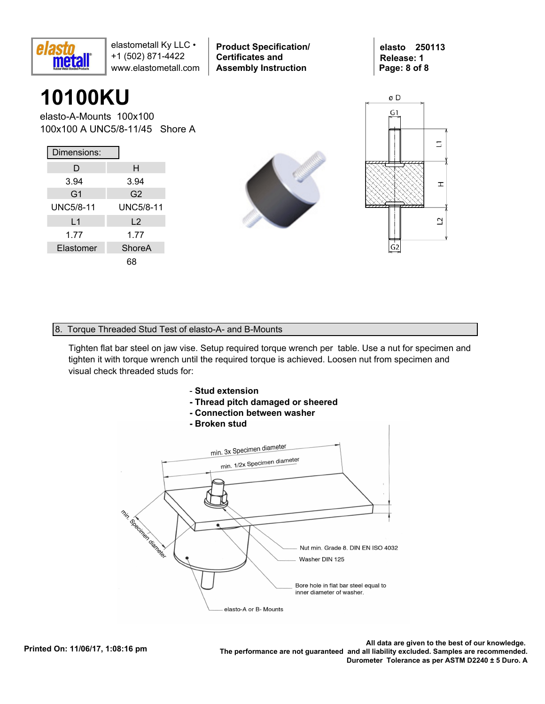

**Product Specification/ Certificates and Assembly Instruction**

**elasto 250113 Release: 1 Page: 8 of 8**

### **10100KU**

elasto-A-Mounts 100x100 100x100 A UNC5/8-11/45 Shore A

| Dimensions:      |                  |
|------------------|------------------|
| D                | н                |
| 3.94             | 3.94             |
| G <sub>1</sub>   | G <sub>2</sub>   |
| <b>UNC5/8-11</b> | <b>UNC5/8-11</b> |
| L1               | L <sub>2</sub>   |
| 1.77             | 1.77             |
| Elastomer        | ShoreA           |
|                  |                  |





#### 8. Torque Threaded Stud Test of elasto-A- and B-Mounts

Tighten flat bar steel on jaw vise. Setup required torque wrench per table. Use a nut for specimen and tighten it with torque wrench until the required torque is achieved. Loosen nut from specimen and visual check threaded studs for:



- **Thread pitch damaged or sheered**
- **Connection between washer**
- **Broken stud**